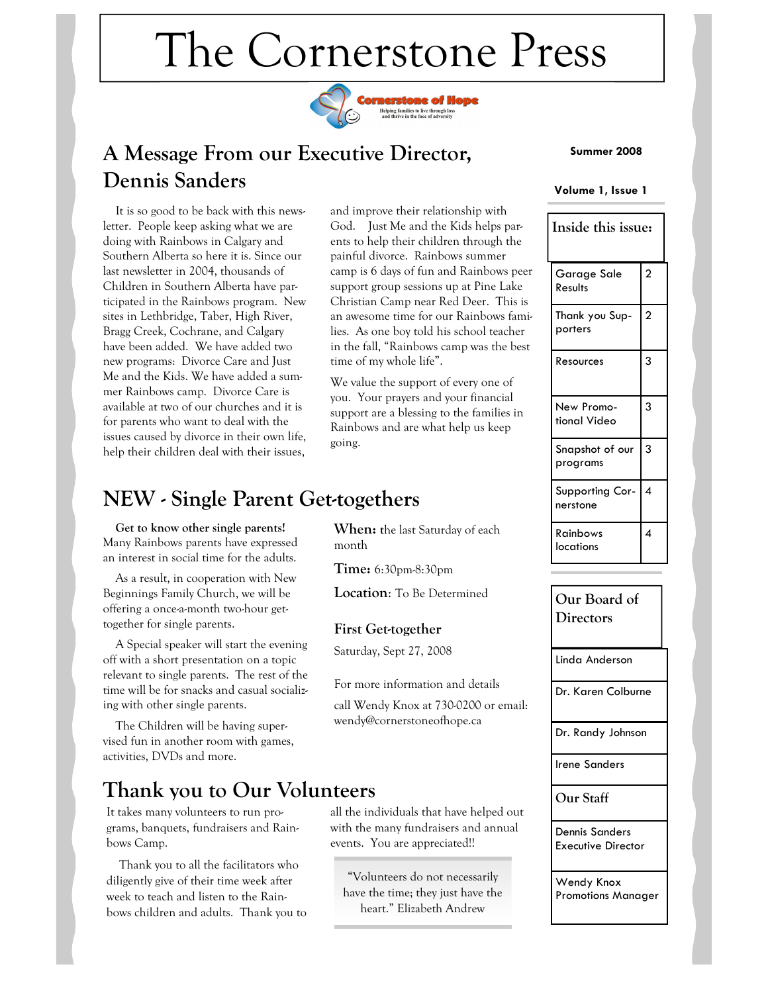# The Cornerstone Press



# A Message From our Executive Director, Dennis Sanders

 It is so good to be back with this newsletter. People keep asking what we are doing with Rainbows in Calgary and Southern Alberta so here it is. Since our last newsletter in 2004, thousands of Children in Southern Alberta have participated in the Rainbows program. New sites in Lethbridge, Taber, High River, Bragg Creek, Cochrane, and Calgary have been added. We have added two new programs: Divorce Care and Just Me and the Kids. We have added a summer Rainbows camp. Divorce Care is available at two of our churches and it is for parents who want to deal with the issues caused by divorce in their own life, help their children deal with their issues,

and improve their relationship with God. Just Me and the Kids helps parents to help their children through the painful divorce. Rainbows summer camp is 6 days of fun and Rainbows peer support group sessions up at Pine Lake Christian Camp near Red Deer. This is an awesome time for our Rainbows families. As one boy told his school teacher in the fall, "Rainbows camp was the best time of my whole life".

We value the support of every one of you. Your prayers and your financial support are a blessing to the families in Rainbows and are what help us keep going.

# NEW - Single Parent Get-togethers

 Get to know other single parents! Many Rainbows parents have expressed an interest in social time for the adults.

 As a result, in cooperation with New Beginnings Family Church, we will be offering a once-a-month two-hour gettogether for single parents.

 A Special speaker will start the evening off with a short presentation on a topic relevant to single parents. The rest of the time will be for snacks and casual socializing with other single parents.

 The Children will be having supervised fun in another room with games, activities, DVDs and more.

### Thank you to Our Volunteers

It takes many volunteers to run programs, banquets, fundraisers and Rainbows Camp.

 Thank you to all the facilitators who diligently give of their time week after week to teach and listen to the Rainbows children and adults. Thank you to When: the last Saturday of each month

Time: 6:30pm-8:30pm

Location: To Be Determined

### First Get-together

Saturday, Sept 27, 2008

For more information and details

call Wendy Knox at 730-0200 or email: wendy@cornerstoneofhope.ca

all the individuals that have helped out with the many fundraisers and annual

"Volunteers do not necessarily have the time; they just have the heart." Elizabeth Andrew

events. You are appreciated!!

### Summer 2008

#### Volume 1, Issue 1

| Inside this issue:          |                |
|-----------------------------|----------------|
| Garage Sale<br>Results      | $\overline{c}$ |
| Thank you Sup-<br>porters   | $\overline{c}$ |
| Resources                   | 3              |
| New Promo-<br>tional Video  | 3              |
| Snapshot of our<br>programs | 3              |
| Supporting Cor-<br>nerstone | 4              |
| Rainbows<br>locations       | 4              |

Linda Anderson Dr. Karen Colburne Dr. Randy Johnson Irene Sanders Our Staff Dennis Sanders Executive Director Wendy Knox Promotions Manager Our Board of **Directors**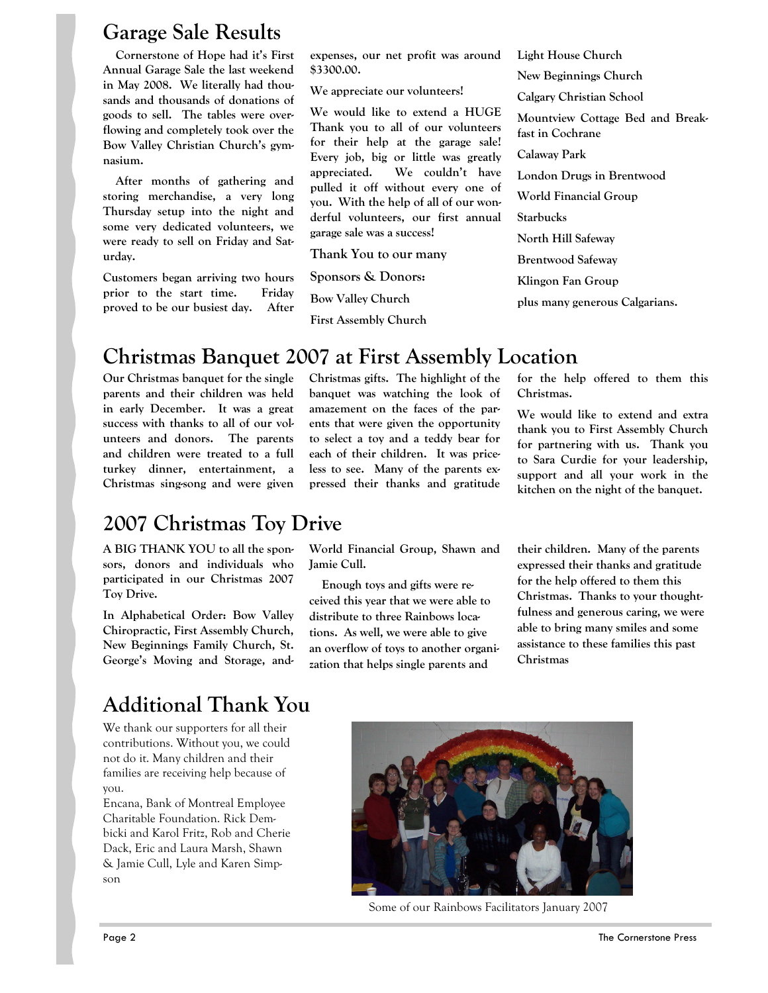### Garage Sale Results

 Cornerstone of Hope had it's First Annual Garage Sale the last weekend in May 2008. We literally had thousands and thousands of donations of goods to sell. The tables were overflowing and completely took over the Bow Valley Christian Church's gymnasium.

 After months of gathering and storing merchandise, a very long Thursday setup into the night and some very dedicated volunteers, we were ready to sell on Friday and Saturday.

Customers began arriving two hours prior to the start time. Friday proved to be our busiest day. After expenses, our net profit was around \$3300.00.

We appreciate our volunteers!

We would like to extend a HUGE Thank you to all of our volunteers for their help at the garage sale! Every job, big or little was greatly appreciated. We couldn't have pulled it off without every one of you. With the help of all of our wonderful volunteers, our first annual garage sale was a success!

Thank You to our many

Sponsors & Donors:

Bow Valley Church

First Assembly Church

New Beginnings Church Calgary Christian School Mountview Cottage Bed and Breakfast in Cochrane Calaway Park London Drugs in Brentwood World Financial Group Starbucks North Hill Safeway Brentwood Safeway Klingon Fan Group plus many generous Calgarians.

Light House Church

# Christmas Banquet 2007 at First Assembly Location

Our Christmas banquet for the single parents and their children was held in early December. It was a great success with thanks to all of our volunteers and donors. The parents and children were treated to a full turkey dinner, entertainment, a Christmas sing-song and were given

Christmas gifts. The highlight of the banquet was watching the look of amazement on the faces of the parents that were given the opportunity to select a toy and a teddy bear for each of their children. It was priceless to see. Many of the parents expressed their thanks and gratitude

for the help offered to them this Christmas.

We would like to extend and extra thank you to First Assembly Church for partnering with us. Thank you to Sara Curdie for your leadership, support and all your work in the kitchen on the night of the banquet.

# 2007 Christmas Toy Drive

A BIG THANK YOU to all the sponsors, donors and individuals who participated in our Christmas 2007 Toy Drive.

In Alphabetical Order: Bow Valley Chiropractic, First Assembly Church, New Beginnings Family Church, St. George's Moving and Storage, and-

# Additional Thank You

We thank our supporters for all their contributions. Without you, we could not do it. Many children and their families are receiving help because of you.

Encana, Bank of Montreal Employee Charitable Foundation. Rick Dembicki and Karol Fritz, Rob and Cherie Dack, Eric and Laura Marsh, Shawn & Jamie Cull, Lyle and Karen Simpson

World Financial Group, Shawn and Jamie Cull.

 Enough toys and gifts were received this year that we were able to distribute to three Rainbows locations. As well, we were able to give an overflow of toys to another organization that helps single parents and

their children. Many of the parents expressed their thanks and gratitude for the help offered to them this Christmas. Thanks to your thoughtfulness and generous caring, we were able to bring many smiles and some assistance to these families this past Christmas



Some of our Rainbows Facilitators January 2007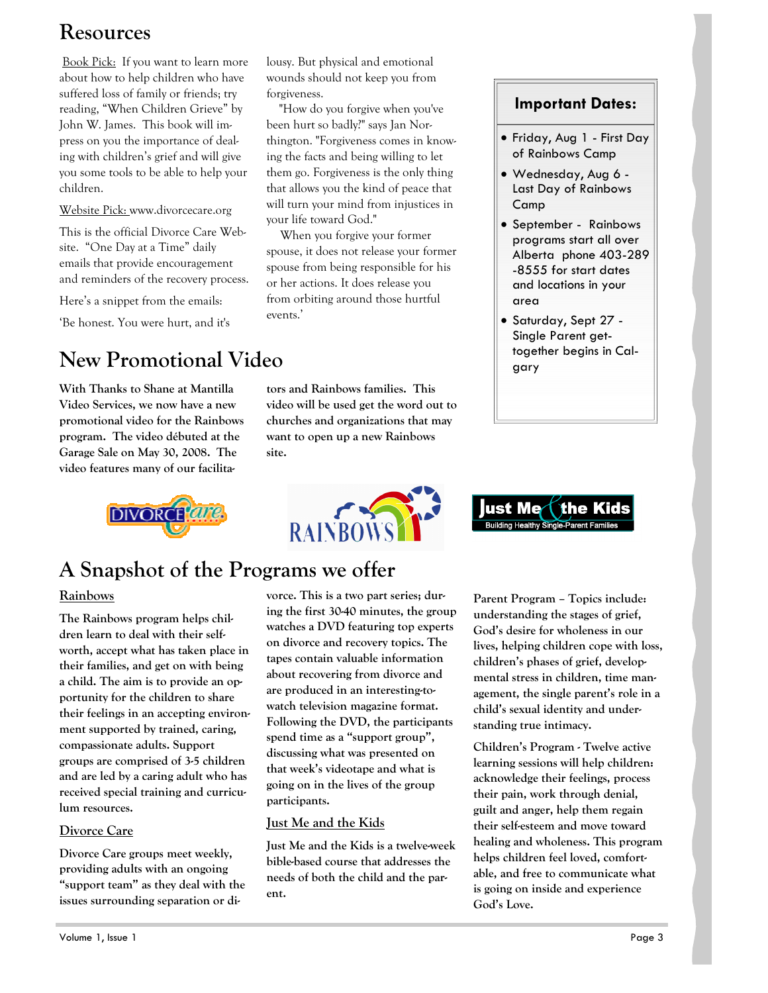# Resources

Book Pick: If you want to learn more about how to help children who have suffered loss of family or friends; try reading, "When Children Grieve" by John W. James. This book will impress on you the importance of dealing with children's grief and will give you some tools to be able to help your children.

Website Pick: www.divorcecare.org

This is the official Divorce Care Website. "One Day at a Time" daily emails that provide encouragement and reminders of the recovery process.

Here's a snippet from the emails:

'Be honest. You were hurt, and it's

# New Promotional Video

With Thanks to Shane at Mantilla Video Services, we now have a new promotional video for the Rainbows program. The video débuted at the Garage Sale on May 30, 2008. The video features many of our facilitalousy. But physical and emotional wounds should not keep you from forgiveness.

 "How do you forgive when you've been hurt so badly?" says Jan Northington. "Forgiveness comes in knowing the facts and being willing to let them go. Forgiveness is the only thing that allows you the kind of peace that will turn your mind from injustices in your life toward God."

 When you forgive your former spouse, it does not release your former spouse from being responsible for his or her actions. It does release you from orbiting around those hurtful events.'

tors and Rainbows families. This video will be used get the word out to churches and organizations that may want to open up a new Rainbows site.





### Important Dates:

- Friday, Aug 1 First Day of Rainbows Camp
- Wednesday, Aug 6 Last Day of Rainbows Camp
- September Rainbows programs start all over Alberta phone 403-289 -8555 for start dates and locations in your area
- Saturday, Sept 27 Single Parent gettogether begins in Calgary



# A Snapshot of the Programs we offer

### Rainbows

The Rainbows program helps children learn to deal with their selfworth, accept what has taken place in their families, and get on with being a child. The aim is to provide an opportunity for the children to share their feelings in an accepting environment supported by trained, caring, compassionate adults. Support groups are comprised of 3-5 children and are led by a caring adult who has received special training and curriculum resources.

### Divorce Care

Divorce Care groups meet weekly, providing adults with an ongoing "support team" as they deal with the issues surrounding separation or divorce. This is a two part series; during the first 30-40 minutes, the group watches a DVD featuring top experts on divorce and recovery topics. The tapes contain valuable information about recovering from divorce and are produced in an interesting-towatch television magazine format. Following the DVD, the participants spend time as a "support group", discussing what was presented on that week's videotape and what is going on in the lives of the group participants.

### Just Me and the Kids

Just Me and the Kids is a twelve-week bible-based course that addresses the needs of both the child and the parent.

Parent Program – Topics include: understanding the stages of grief, God's desire for wholeness in our lives, helping children cope with loss, children's phases of grief, developmental stress in children, time management, the single parent's role in a child's sexual identity and understanding true intimacy.

Children's Program - Twelve active learning sessions will help children: acknowledge their feelings, process their pain, work through denial, guilt and anger, help them regain their self-esteem and move toward healing and wholeness. This program helps children feel loved, comfortable, and free to communicate what is going on inside and experience God's Love.